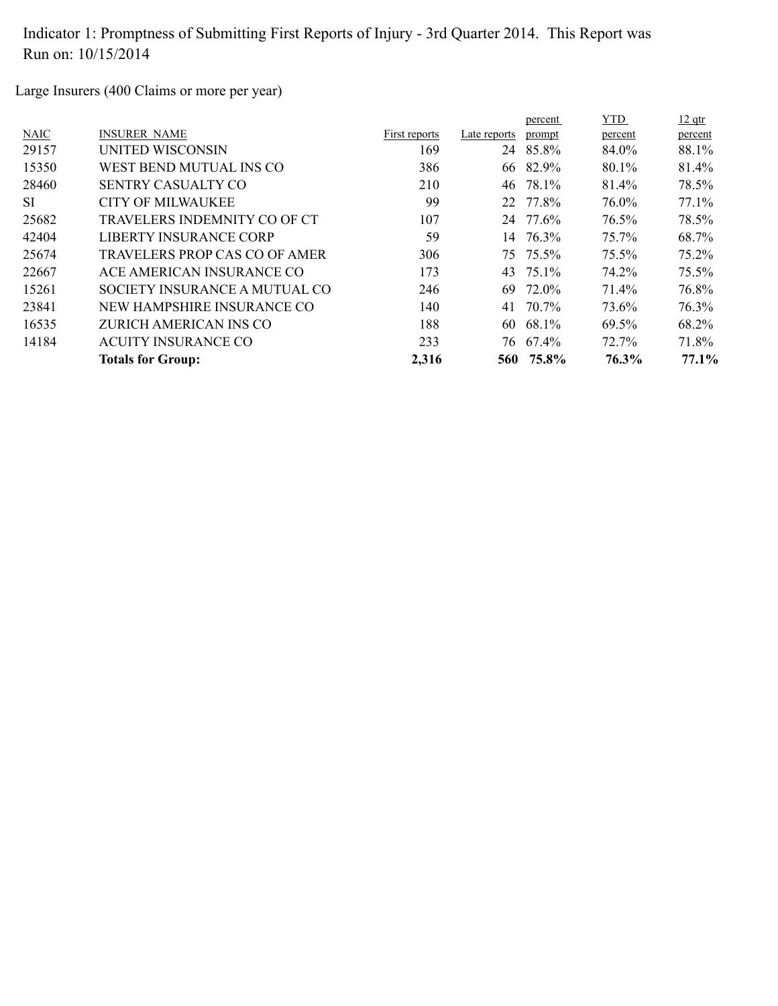Large Insurers (400 Claims or more per year)

|             |                               |               |              | percent  | <b>YTD</b> | $12$ qtr |
|-------------|-------------------------------|---------------|--------------|----------|------------|----------|
| <b>NAIC</b> | <b>INSURER NAME</b>           | First reports | Late reports | prompt   | percent    | percent  |
| 29157       | UNITED WISCONSIN              | 169           | 24           | 85.8%    | 84.0%      | 88.1%    |
| 15350       | WEST BEND MUTUAL INS CO       | 386           | 66           | 82.9%    | 80.1%      | 81.4%    |
| 28460       | <b>SENTRY CASUALTY CO</b>     | 210           | 46           | 78.1%    | 81.4%      | 78.5%    |
| SI          | CITY OF MILWAUKEE             | 99            |              | 22 77.8% | 76.0%      | 77.1%    |
| 25682       | TRAVELERS INDEMNITY CO OF CT  | 107           |              | 24 77.6% | 76.5%      | 78.5%    |
| 42404       | LIBERTY INSURANCE CORP        | 59            |              | 14 76.3% | 75.7%      | 68.7%    |
| 25674       | TRAVELERS PROP CAS CO OF AMER | 306           |              | 75 75.5% | 75.5%      | $75.2\%$ |
| 22667       | ACE AMERICAN INSURANCE CO     | 173           | 43           | 75.1%    | 74.2%      | 75.5%    |
| 15261       | SOCIETY INSURANCE A MUTUAL CO | 246           | 69           | 72.0%    | 71.4%      | 76.8%    |
| 23841       | NEW HAMPSHIRE INSURANCE CO    | 140           | 41           | 70.7%    | 73.6%      | 76.3%    |
| 16535       | ZURICH AMERICAN INS CO        | 188           | 60           | 68.1%    | 69.5%      | 68.2%    |
| 14184       | ACUITY INSURANCE CO           | 233           |              | 76 67.4% | 72.7%      | 71.8%    |
|             | <b>Totals for Group:</b>      | 2,316         | 560          | 75.8%    | 76.3%      | 77.1%    |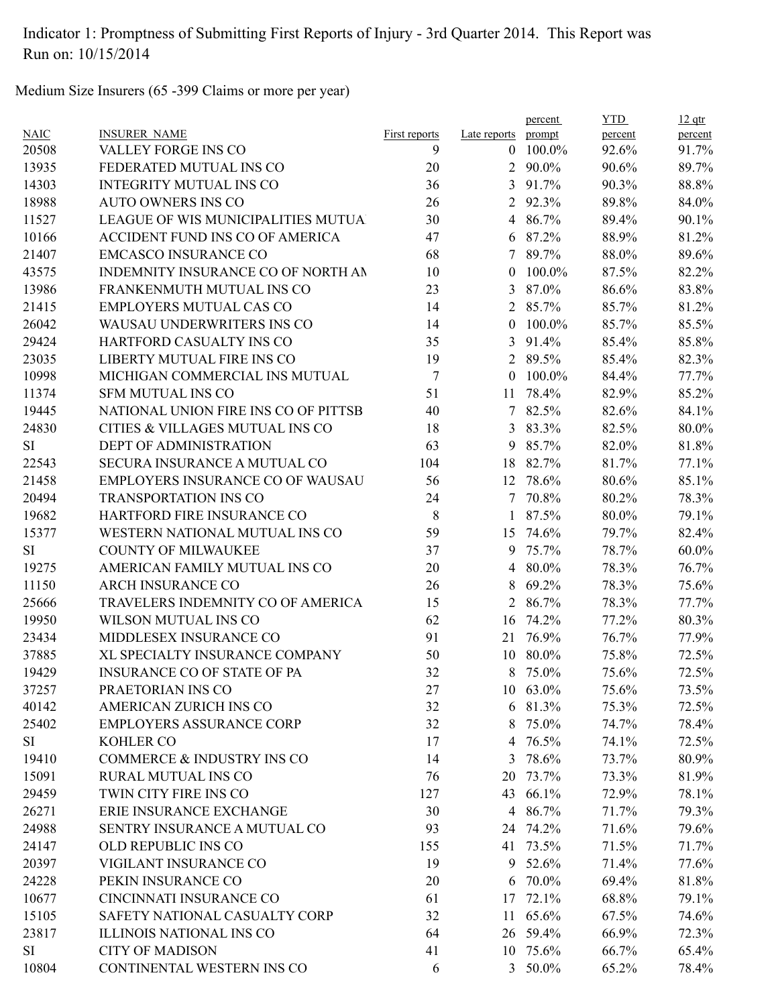Medium Size Insurers (65 -399 Claims or more per year)

|             |                                         |                      |                | percent  | <b>YTD</b> | $12$ qtr |
|-------------|-----------------------------------------|----------------------|----------------|----------|------------|----------|
| <b>NAIC</b> | <b>INSURER NAME</b>                     | <b>First reports</b> | Late reports   | prompt   | percent    | percent  |
| 20508       | VALLEY FORGE INS CO                     | 9                    | $\theta$       | 100.0%   | 92.6%      | 91.7%    |
| 13935       | FEDERATED MUTUAL INS CO                 | 20                   | $\overline{2}$ | 90.0%    | 90.6%      | 89.7%    |
| 14303       | <b>INTEGRITY MUTUAL INS CO</b>          | 36                   |                | 3 91.7%  | 90.3%      | 88.8%    |
| 18988       | <b>AUTO OWNERS INS CO</b>               | 26                   | $\overline{2}$ | 92.3%    | 89.8%      | 84.0%    |
| 11527       | LEAGUE OF WIS MUNICIPALITIES MUTUA      | 30                   | 4              | 86.7%    | 89.4%      | 90.1%    |
| 10166       | ACCIDENT FUND INS CO OF AMERICA         | 47                   | 6              | 87.2%    | 88.9%      | 81.2%    |
| 21407       | <b>EMCASCO INSURANCE CO</b>             | 68                   | $\tau$         | 89.7%    | 88.0%      | 89.6%    |
| 43575       | INDEMNITY INSURANCE CO OF NORTH AN      | 10                   | $\theta$       | 100.0%   | 87.5%      | 82.2%    |
| 13986       | FRANKENMUTH MUTUAL INS CO               | 23                   | 3              | 87.0%    | 86.6%      | 83.8%    |
| 21415       | <b>EMPLOYERS MUTUAL CAS CO</b>          | 14                   |                | 2 85.7%  | 85.7%      | 81.2%    |
| 26042       | WAUSAU UNDERWRITERS INS CO              | 14                   | $\theta$       | 100.0%   | 85.7%      | 85.5%    |
| 29424       | HARTFORD CASUALTY INS CO                | 35                   | 3              | 91.4%    | 85.4%      | 85.8%    |
| 23035       | LIBERTY MUTUAL FIRE INS CO              | 19                   | $\overline{2}$ | 89.5%    | 85.4%      | 82.3%    |
| 10998       | MICHIGAN COMMERCIAL INS MUTUAL          | $\tau$               | $\theta$       | 100.0%   | 84.4%      | 77.7%    |
| 11374       | <b>SFM MUTUAL INS CO</b>                | 51                   | 11             | 78.4%    | 82.9%      | 85.2%    |
| 19445       | NATIONAL UNION FIRE INS CO OF PITTSB    | 40                   | $7^{\circ}$    | 82.5%    | 82.6%      | 84.1%    |
| 24830       | CITIES & VILLAGES MUTUAL INS CO         | 18                   |                | 3 83.3%  | 82.5%      | 80.0%    |
| <b>SI</b>   | <b>DEPT OF ADMINISTRATION</b>           | 63                   | 9              | 85.7%    | 82.0%      | 81.8%    |
| 22543       | SECURA INSURANCE A MUTUAL CO            | 104                  | 18             | 82.7%    | 81.7%      | 77.1%    |
| 21458       | <b>EMPLOYERS INSURANCE CO OF WAUSAU</b> | 56                   | 12             | 78.6%    | 80.6%      | 85.1%    |
| 20494       | <b>TRANSPORTATION INS CO</b>            | 24                   | 7              | 70.8%    | 80.2%      | 78.3%    |
| 19682       | HARTFORD FIRE INSURANCE CO              | $8\,$                | $\mathbf{1}$   | 87.5%    | 80.0%      | 79.1%    |
| 15377       | WESTERN NATIONAL MUTUAL INS CO          | 59                   | 15             | 74.6%    | 79.7%      | 82.4%    |
| SI          | <b>COUNTY OF MILWAUKEE</b>              | 37                   | 9              | 75.7%    | 78.7%      | 60.0%    |
| 19275       | AMERICAN FAMILY MUTUAL INS CO           | 20                   | $\overline{4}$ | 80.0%    | 78.3%      | 76.7%    |
| 11150       | <b>ARCH INSURANCE CO</b>                | 26                   | 8              | 69.2%    | 78.3%      | 75.6%    |
| 25666       | TRAVELERS INDEMNITY CO OF AMERICA       | 15                   | 2              | 86.7%    | 78.3%      | 77.7%    |
| 19950       | WILSON MUTUAL INS CO                    | 62                   | 16             | 74.2%    | 77.2%      | 80.3%    |
| 23434       | MIDDLESEX INSURANCE CO                  | 91                   | 21             | 76.9%    | 76.7%      | 77.9%    |
| 37885       | XL SPECIALTY INSURANCE COMPANY          | 50                   | 10             | 80.0%    | 75.8%      | 72.5%    |
| 19429       | INSURANCE CO OF STATE OF PA             | 32                   | 8              | 75.0%    | 75.6%      | 72.5%    |
|             | PRAETORIAN INS CO                       | 27                   |                | 10 63.0% |            |          |
| 37257       |                                         |                      |                |          | 75.6%      | 73.5%    |
| 40142       | AMERICAN ZURICH INS CO                  | 32                   |                | 6 81.3%  | 75.3%      | 72.5%    |
| 25402       | EMPLOYERS ASSURANCE CORP                | 32                   | 8              | 75.0%    | 74.7%      | 78.4%    |
| SI          | KOHLER CO                               | 17                   |                | 4 76.5%  | 74.1%      | 72.5%    |
| 19410       | COMMERCE & INDUSTRY INS CO              | 14                   | 3              | 78.6%    | 73.7%      | 80.9%    |
| 15091       | RURAL MUTUAL INS CO                     | 76                   | 20             | 73.7%    | 73.3%      | 81.9%    |
| 29459       | TWIN CITY FIRE INS CO                   | 127                  |                | 43 66.1% | 72.9%      | 78.1%    |
| 26271       | ERIE INSURANCE EXCHANGE                 | 30                   |                | 4 86.7%  | 71.7%      | 79.3%    |
| 24988       | SENTRY INSURANCE A MUTUAL CO            | 93                   |                | 24 74.2% | 71.6%      | 79.6%    |
| 24147       | OLD REPUBLIC INS CO                     | 155                  |                | 41 73.5% | 71.5%      | 71.7%    |
| 20397       | VIGILANT INSURANCE CO                   | 19                   |                | 9 52.6%  | 71.4%      | 77.6%    |
| 24228       | PEKIN INSURANCE CO                      | 20                   | 6              | 70.0%    | 69.4%      | 81.8%    |
| 10677       | CINCINNATI INSURANCE CO                 | 61                   | 17             | 72.1%    | 68.8%      | 79.1%    |
| 15105       | SAFETY NATIONAL CASUALTY CORP           | 32                   |                | 11 65.6% | 67.5%      | 74.6%    |
| 23817       | <b>ILLINOIS NATIONAL INS CO</b>         | 64                   |                | 26 59.4% | 66.9%      | 72.3%    |
| SI          | <b>CITY OF MADISON</b>                  | 41                   |                | 10 75.6% | 66.7%      | 65.4%    |
| 10804       | CONTINENTAL WESTERN INS CO              | 6                    |                | 3 50.0%  | 65.2%      | 78.4%    |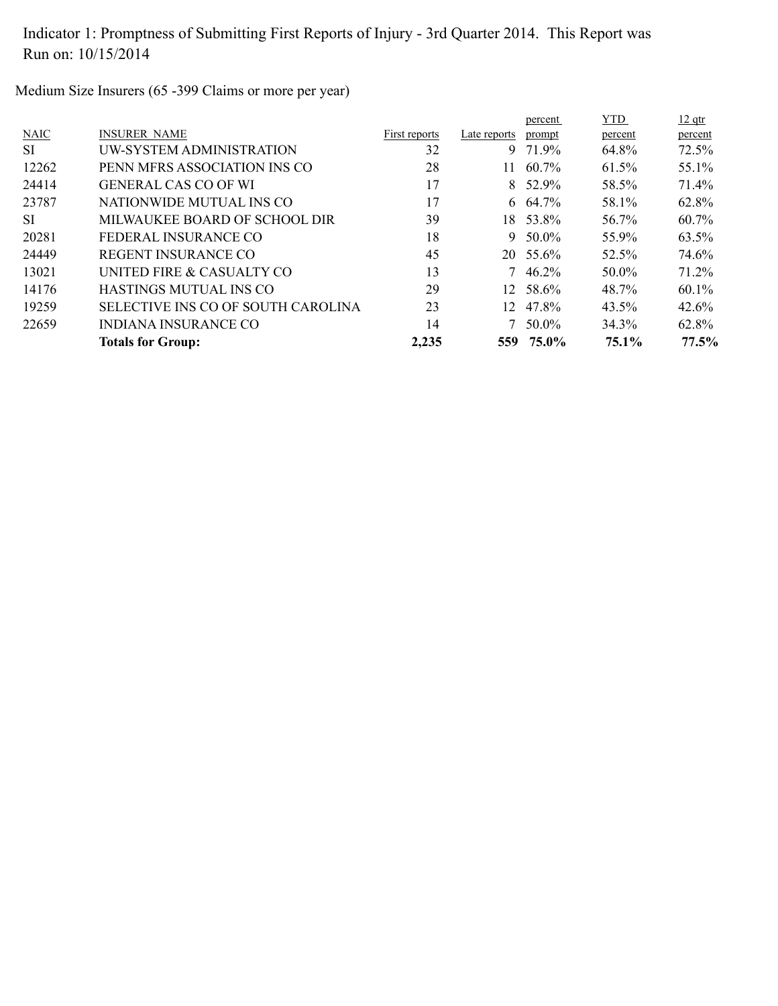Medium Size Insurers (65 -399 Claims or more per year)

|             | <b>Totals for Group:</b>           | 2,235         | 559          | 75.0%           | 75.1%      | 77.5%    |
|-------------|------------------------------------|---------------|--------------|-----------------|------------|----------|
| 22659       | <b>INDIANA INSURANCE CO</b>        | 14            |              | $7\quad 50.0\%$ | 34.3%      | 62.8%    |
| 19259       | SELECTIVE INS CO OF SOUTH CAROLINA | 23            | 12           | 47.8%           | 43.5%      | $42.6\%$ |
| 14176       | HASTINGS MUTUAL INS CO             | 29            |              | 12 58.6%        | 48.7%      | $60.1\%$ |
| 13021       | UNITED FIRE & CASUALTY CO          | 13            |              | $7\quad 46.2\%$ | 50.0%      | 71.2%    |
| 24449       | REGENT INSURANCE CO                | 45            | 20           | 55.6%           | 52.5%      | 74.6%    |
| 20281       | FEDERAL INSURANCE CO               | 18            | 9.           | 50.0%           | 55.9%      | 63.5%    |
| <b>SI</b>   | MILWAUKEE BOARD OF SCHOOL DIR      | 39            |              | 18 53.8%        | 56.7%      | 60.7%    |
| 23787       | NATIONWIDE MUTUAL INS CO           | 17            |              | $6\quad 64.7\%$ | 58.1%      | 62.8%    |
| 24414       | <b>GENERAL CAS CO OF WI</b>        | 17            |              | 8 52.9%         | 58.5%      | 71.4%    |
| 12262       | PENN MFRS ASSOCIATION INS CO       | 28            | 11           | $60.7\%$        | 61.5%      | 55.1%    |
| <b>SI</b>   | UW-SYSTEM ADMINISTRATION           | 32            | 9            | 71.9%           | 64.8%      | 72.5%    |
| <b>NAIC</b> | <b>INSURER NAME</b>                | First reports | Late reports | prompt          | percent    | percent  |
|             |                                    |               |              | percent         | <b>YTD</b> | $12$ qtr |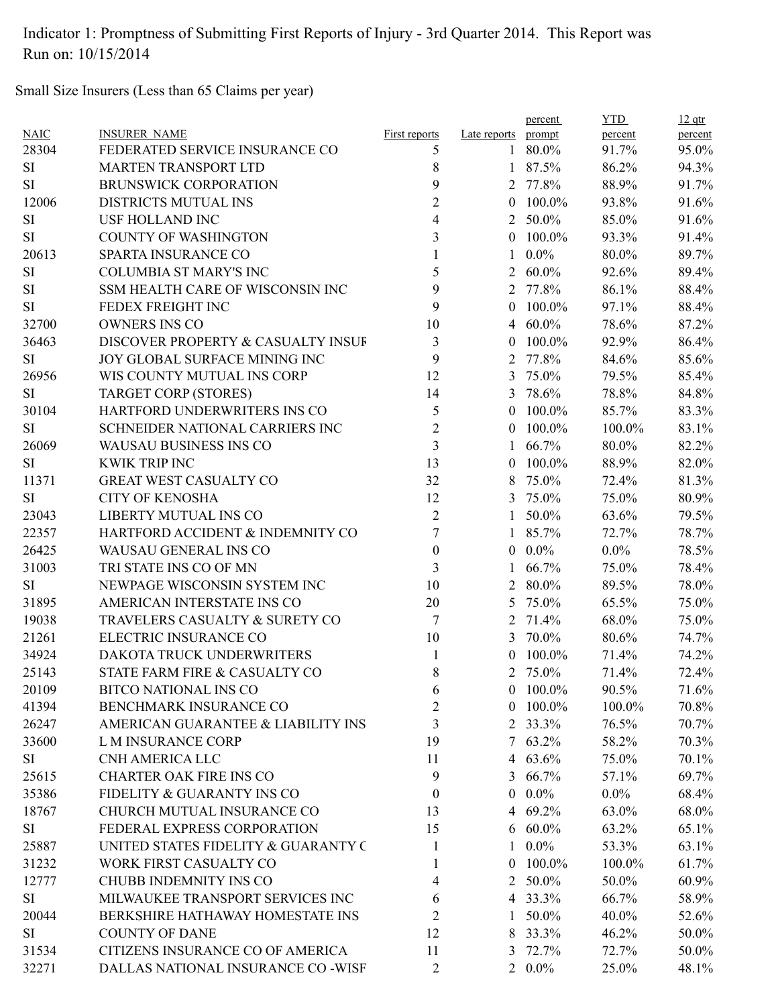Small Size Insurers (Less than 65 Claims per year)

|             |                                     |                      |                    | percent      | <b>YTD</b> | $12$ qtr |
|-------------|-------------------------------------|----------------------|--------------------|--------------|------------|----------|
| <b>NAIC</b> | <b>INSURER NAME</b>                 | <b>First reports</b> | Late reports       | prompt       | percent    | percent  |
| 28304       | FEDERATED SERVICE INSURANCE CO      | 5                    | $\mathbf{1}$       | 80.0%        | 91.7%      | 95.0%    |
| <b>SI</b>   | <b>MARTEN TRANSPORT LTD</b>         | 8                    |                    | 1 87.5%      | 86.2%      | 94.3%    |
| <b>SI</b>   | <b>BRUNSWICK CORPORATION</b>        | 9                    |                    | 2 77.8%      | 88.9%      | 91.7%    |
| 12006       | <b>DISTRICTS MUTUAL INS</b>         | $\overline{c}$       | $\overline{0}$     | 100.0%       | 93.8%      | 91.6%    |
| <b>SI</b>   | <b>USF HOLLAND INC</b>              | 4                    | 2                  | 50.0%        | 85.0%      | 91.6%    |
| <b>SI</b>   | <b>COUNTY OF WASHINGTON</b>         | 3                    | $\theta$           | 100.0%       | 93.3%      | 91.4%    |
| 20613       | <b>SPARTA INSURANCE CO</b>          | 1                    | $\mathbf{1}$       | $0.0\%$      | 80.0%      | 89.7%    |
| <b>SI</b>   | <b>COLUMBIA ST MARY'S INC</b>       | 5                    | 2                  | $60.0\%$     | 92.6%      | 89.4%    |
| $\rm SI$    | SSM HEALTH CARE OF WISCONSIN INC    | 9                    | $\mathbf{2}$       | 77.8%        | 86.1%      | 88.4%    |
| $\rm SI$    | FEDEX FREIGHT INC                   | 9                    | $\theta$           | 100.0%       | 97.1%      | 88.4%    |
| 32700       | <b>OWNERS INS CO</b>                | 10                   | 4                  | $60.0\%$     | 78.6%      | 87.2%    |
| 36463       | DISCOVER PROPERTY & CASUALTY INSUF  | 3                    | $\theta$           | 100.0%       | 92.9%      | 86.4%    |
| <b>SI</b>   | JOY GLOBAL SURFACE MINING INC       | 9                    | 2                  | 77.8%        | 84.6%      | 85.6%    |
| 26956       | WIS COUNTY MUTUAL INS CORP          | 12                   | 3                  | 75.0%        | 79.5%      | 85.4%    |
| <b>SI</b>   | <b>TARGET CORP (STORES)</b>         | 14                   | 3                  | 78.6%        | 78.8%      | 84.8%    |
| 30104       | HARTFORD UNDERWRITERS INS CO        | 5                    | $\left( 0 \right)$ | 100.0%       | 85.7%      | 83.3%    |
| <b>SI</b>   | SCHNEIDER NATIONAL CARRIERS INC     | $\overline{2}$       | $\theta$           | 100.0%       | 100.0%     | 83.1%    |
| 26069       | WAUSAU BUSINESS INS CO              | 3                    |                    | 66.7%        | 80.0%      | 82.2%    |
| <b>SI</b>   | <b>KWIK TRIP INC</b>                | 13                   | $\theta$           | 100.0%       | 88.9%      | 82.0%    |
| 11371       | <b>GREAT WEST CASUALTY CO</b>       | 32                   | 8                  | 75.0%        | 72.4%      | 81.3%    |
| <b>SI</b>   | <b>CITY OF KENOSHA</b>              | 12                   | 3                  | 75.0%        | 75.0%      | 80.9%    |
| 23043       | LIBERTY MUTUAL INS CO               | $\overline{2}$       | 1                  | 50.0%        | 63.6%      | 79.5%    |
| 22357       | HARTFORD ACCIDENT & INDEMNITY CO    | 7                    | $\mathbf{1}$       | 85.7%        | 72.7%      | 78.7%    |
| 26425       | WAUSAU GENERAL INS CO               | $\boldsymbol{0}$     | $\overline{0}$     | $0.0\%$      | $0.0\%$    | 78.5%    |
| 31003       | TRI STATE INS CO OF MN              | 3                    |                    | 66.7%        | 75.0%      | 78.4%    |
| <b>SI</b>   | NEWPAGE WISCONSIN SYSTEM INC        | 10                   | 2                  | 80.0%        | 89.5%      | 78.0%    |
| 31895       | AMERICAN INTERSTATE INS CO          | 20                   | 5                  | 75.0%        | 65.5%      | 75.0%    |
| 19038       | TRAVELERS CASUALTY & SURETY CO      | $\overline{7}$       | 2                  | 71.4%        | 68.0%      | 75.0%    |
| 21261       | ELECTRIC INSURANCE CO               | 10                   | 3                  | 70.0%        | 80.6%      | 74.7%    |
| 34924       | DAKOTA TRUCK UNDERWRITERS           | 1                    | $\theta$           | 100.0%       | 71.4%      | 74.2%    |
| 25143       | STATE FARM FIRE & CASUALTY CO       | 8                    | 2                  | 75.0%        | 71.4%      | 72.4%    |
| 20109       | <b>BITCO NATIONAL INS CO</b>        | 6                    |                    | $0$ 100.0%   | 90.5%      | 71.6%    |
| 41394       | BENCHMARK INSURANCE CO              | 2                    |                    | $0$ 100.0%   | 100.0%     | 70.8%    |
| 26247       | AMERICAN GUARANTEE & LIABILITY INS  | 3                    |                    | 2 33.3%      | 76.5%      | 70.7%    |
| 33600       | <b>L M INSURANCE CORP</b>           | 19                   |                    | 7 63.2%      | 58.2%      | 70.3%    |
| SI          | CNH AMERICA LLC                     | 11                   |                    | 4 63.6%      | 75.0%      | 70.1%    |
| 25615       | <b>CHARTER OAK FIRE INS CO</b>      | 9                    | 3                  | 66.7%        | 57.1%      | 69.7%    |
| 35386       | FIDELITY & GUARANTY INS CO          | $\boldsymbol{0}$     | $\overline{0}$     | $0.0\%$      | $0.0\%$    | 68.4%    |
| 18767       | CHURCH MUTUAL INSURANCE CO          | 13                   |                    | 4 69.2%      | 63.0%      | 68.0%    |
| SI          | FEDERAL EXPRESS CORPORATION         | 15                   |                    | $6\ 60.0\%$  | 63.2%      | 65.1%    |
| 25887       | UNITED STATES FIDELITY & GUARANTY C |                      | 1                  | $0.0\%$      | 53.3%      | 63.1%    |
| 31232       | WORK FIRST CASUALTY CO              | 1                    |                    | $0$ 100.0%   | 100.0%     | 61.7%    |
| 12777       | CHUBB INDEMNITY INS CO              | 4                    | 2                  | 50.0%        | 50.0%      | 60.9%    |
|             |                                     |                      |                    |              |            |          |
| SI          | MILWAUKEE TRANSPORT SERVICES INC    | 6                    |                    | 4 33.3%      | 66.7%      | 58.9%    |
| 20044       | BERKSHIRE HATHAWAY HOMESTATE INS    | 2                    | 1                  | 50.0%        | 40.0%      | 52.6%    |
| SI          | <b>COUNTY OF DANE</b>               | 12                   |                    | 8 33.3%      | 46.2%      | 50.0%    |
| 31534       | CITIZENS INSURANCE CO OF AMERICA    | 11                   | 3                  | 72.7%        | 72.7%      | 50.0%    |
| 32271       | DALLAS NATIONAL INSURANCE CO -WISF  | 2                    |                    | $2\ \ 0.0\%$ | 25.0%      | 48.1%    |